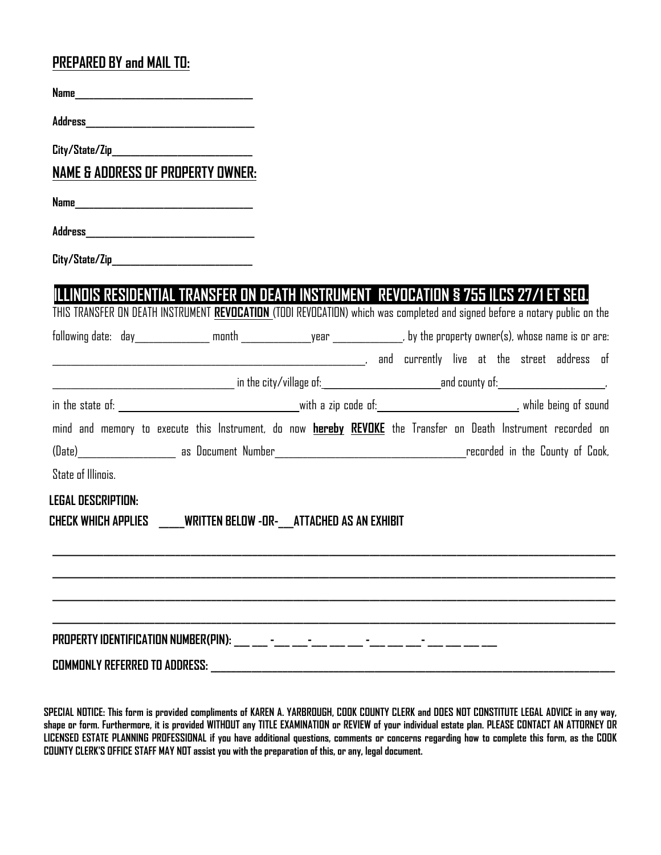## **PREPARED BY and MAIL TO:**

| <b>NAME &amp; ADDRESS OF PROPERTY OWNER:</b>                                                                                                                                                                                     |  |  |  |  |  |
|----------------------------------------------------------------------------------------------------------------------------------------------------------------------------------------------------------------------------------|--|--|--|--|--|
|                                                                                                                                                                                                                                  |  |  |  |  |  |
|                                                                                                                                                                                                                                  |  |  |  |  |  |
| City/State/Zip_______________________________                                                                                                                                                                                    |  |  |  |  |  |
| ILLINDIS RESIDENTIAL TRANSFER ON DEATH INSTRUMENT REVOCATION § 755 ILCS 27/1 ET SEQ.<br>THIS TRANSFER ON DEATH INSTRUMENT <mark>REVOCATION</mark> (TODI REVOCATION) which was completed and signed before a notary public on the |  |  |  |  |  |
|                                                                                                                                                                                                                                  |  |  |  |  |  |
|                                                                                                                                                                                                                                  |  |  |  |  |  |
|                                                                                                                                                                                                                                  |  |  |  |  |  |
|                                                                                                                                                                                                                                  |  |  |  |  |  |
| mind and memory to execute this Instrument, do now <b>hereby REVOKE</b> the Transfer on Death Instrument recorded on                                                                                                             |  |  |  |  |  |
|                                                                                                                                                                                                                                  |  |  |  |  |  |
| <b>State of Illinois.</b>                                                                                                                                                                                                        |  |  |  |  |  |
| <b>LEGAL DESCRIPTION:</b>                                                                                                                                                                                                        |  |  |  |  |  |
| CHECK WHICH APPLIES WRITTEN BELOW -OR- ATTACHED AS AN EXHIBIT                                                                                                                                                                    |  |  |  |  |  |
|                                                                                                                                                                                                                                  |  |  |  |  |  |
|                                                                                                                                                                                                                                  |  |  |  |  |  |
|                                                                                                                                                                                                                                  |  |  |  |  |  |
|                                                                                                                                                                                                                                  |  |  |  |  |  |
|                                                                                                                                                                                                                                  |  |  |  |  |  |
|                                                                                                                                                                                                                                  |  |  |  |  |  |

**SPECIAL NOTICE: This form is provided compliments of KAREN A. YARBROUGH, COOK COUNTY CLERK and DOES NOT CONSTITUTE LEGAL ADVICE in any way, shape or form. Furthermore, it is provided WITHOUT any TITLE EXAMINATION or REVIEW of your individual estate plan. PLEASE CONTACT AN ATTORNEY OR LICENSED ESTATE PLANNING PROFESSIONAL if you have additional questions, comments or concerns regarding how to complete this form, as the COOK COUNTY CLERK'S OFFICE STAFF MAY NOT assist you with the preparation of this, or any, legal document.**